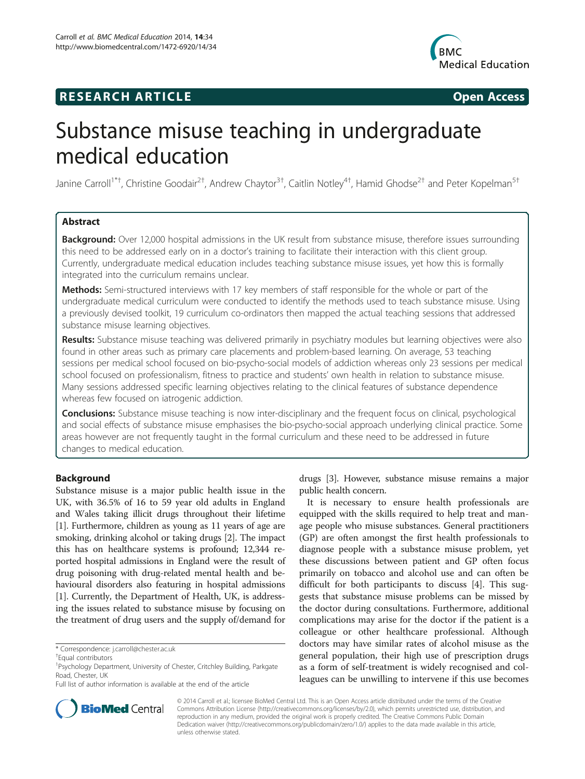# **RESEARCH ARTICLE Example 2014 12:30 The SEAR CHA RTICLE**



# Substance misuse teaching in undergraduate medical education

Janine Carroll<sup>1\*†</sup>, Christine Goodair<sup>2†</sup>, Andrew Chaytor<sup>3†</sup>, Caitlin Notley<sup>4†</sup>, Hamid Ghodse<sup>2†</sup> and Peter Kopelman<sup>5†</sup>

# Abstract

Background: Over 12,000 hospital admissions in the UK result from substance misuse, therefore issues surrounding this need to be addressed early on in a doctor's training to facilitate their interaction with this client group. Currently, undergraduate medical education includes teaching substance misuse issues, yet how this is formally integrated into the curriculum remains unclear.

Methods: Semi-structured interviews with 17 key members of staff responsible for the whole or part of the undergraduate medical curriculum were conducted to identify the methods used to teach substance misuse. Using a previously devised toolkit, 19 curriculum co-ordinators then mapped the actual teaching sessions that addressed substance misuse learning objectives.

Results: Substance misuse teaching was delivered primarily in psychiatry modules but learning objectives were also found in other areas such as primary care placements and problem-based learning. On average, 53 teaching sessions per medical school focused on bio-psycho-social models of addiction whereas only 23 sessions per medical school focused on professionalism, fitness to practice and students' own health in relation to substance misuse. Many sessions addressed specific learning objectives relating to the clinical features of substance dependence whereas few focused on iatrogenic addiction.

Conclusions: Substance misuse teaching is now inter-disciplinary and the frequent focus on clinical, psychological and social effects of substance misuse emphasises the bio-psycho-social approach underlying clinical practice. Some areas however are not frequently taught in the formal curriculum and these need to be addressed in future changes to medical education.

# Background

Substance misuse is a major public health issue in the UK, with 36.5% of 16 to 59 year old adults in England and Wales taking illicit drugs throughout their lifetime [[1\]](#page-7-0). Furthermore, children as young as 11 years of age are smoking, drinking alcohol or taking drugs [\[2](#page-7-0)]. The impact this has on healthcare systems is profound; 12,344 reported hospital admissions in England were the result of drug poisoning with drug-related mental health and behavioural disorders also featuring in hospital admissions [[1\]](#page-7-0). Currently, the Department of Health, UK, is addressing the issues related to substance misuse by focusing on the treatment of drug users and the supply of/demand for



It is necessary to ensure health professionals are equipped with the skills required to help treat and manage people who misuse substances. General practitioners (GP) are often amongst the first health professionals to diagnose people with a substance misuse problem, yet these discussions between patient and GP often focus primarily on tobacco and alcohol use and can often be difficult for both participants to discuss [\[4](#page-7-0)]. This suggests that substance misuse problems can be missed by the doctor during consultations. Furthermore, additional complications may arise for the doctor if the patient is a colleague or other healthcare professional. Although doctors may have similar rates of alcohol misuse as the general population, their high use of prescription drugs as a form of self-treatment is widely recognised and colleagues can be unwilling to intervene if this use becomes



© 2014 Carroll et al.; licensee BioMed Central Ltd. This is an Open Access article distributed under the terms of the Creative Commons Attribution License [\(http://creativecommons.org/licenses/by/2.0\)](http://creativecommons.org/licenses/by/2.0), which permits unrestricted use, distribution, and reproduction in any medium, provided the original work is properly credited. The Creative Commons Public Domain Dedication waiver [\(http://creativecommons.org/publicdomain/zero/1.0/](http://creativecommons.org/publicdomain/zero/1.0/)) applies to the data made available in this article, unless otherwise stated.

<sup>\*</sup> Correspondence: [j.carroll@chester.ac.uk](mailto:j.carroll@chester.ac.uk) †

Equal contributors

<sup>&</sup>lt;sup>1</sup> Psychology Department, University of Chester, Critchley Building, Parkgate Road, Chester, UK

Full list of author information is available at the end of the article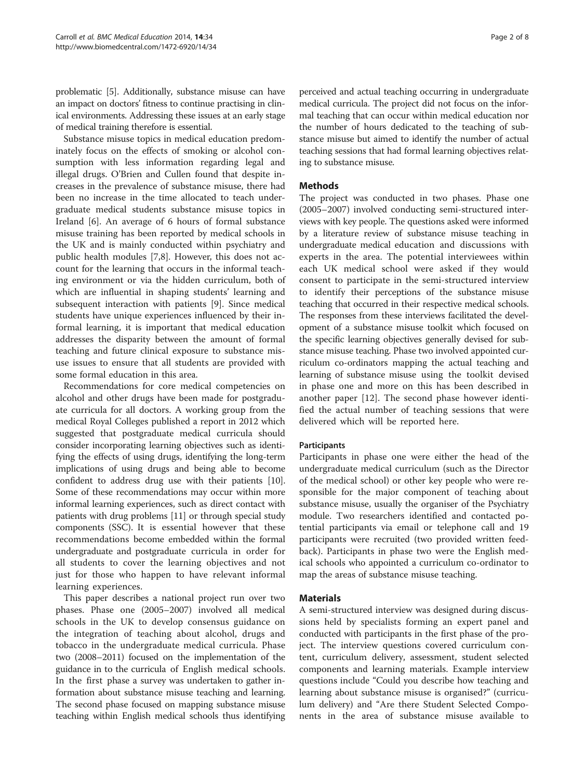problematic [\[5\]](#page-7-0). Additionally, substance misuse can have an impact on doctors' fitness to continue practising in clinical environments. Addressing these issues at an early stage of medical training therefore is essential.

Substance misuse topics in medical education predominately focus on the effects of smoking or alcohol consumption with less information regarding legal and illegal drugs. O'Brien and Cullen found that despite increases in the prevalence of substance misuse, there had been no increase in the time allocated to teach undergraduate medical students substance misuse topics in Ireland [\[6\]](#page-7-0). An average of 6 hours of formal substance misuse training has been reported by medical schools in the UK and is mainly conducted within psychiatry and public health modules [\[7](#page-7-0),[8](#page-7-0)]. However, this does not account for the learning that occurs in the informal teaching environment or via the hidden curriculum, both of which are influential in shaping students' learning and subsequent interaction with patients [[9\]](#page-7-0). Since medical students have unique experiences influenced by their informal learning, it is important that medical education addresses the disparity between the amount of formal teaching and future clinical exposure to substance misuse issues to ensure that all students are provided with some formal education in this area.

Recommendations for core medical competencies on alcohol and other drugs have been made for postgraduate curricula for all doctors. A working group from the medical Royal Colleges published a report in 2012 which suggested that postgraduate medical curricula should consider incorporating learning objectives such as identifying the effects of using drugs, identifying the long-term implications of using drugs and being able to become confident to address drug use with their patients [[10](#page-7-0)]. Some of these recommendations may occur within more informal learning experiences, such as direct contact with patients with drug problems [[11](#page-7-0)] or through special study components (SSC). It is essential however that these recommendations become embedded within the formal undergraduate and postgraduate curricula in order for all students to cover the learning objectives and not just for those who happen to have relevant informal learning experiences.

This paper describes a national project run over two phases. Phase one (2005–2007) involved all medical schools in the UK to develop consensus guidance on the integration of teaching about alcohol, drugs and tobacco in the undergraduate medical curricula. Phase two (2008–2011) focused on the implementation of the guidance in to the curricula of English medical schools. In the first phase a survey was undertaken to gather information about substance misuse teaching and learning. The second phase focused on mapping substance misuse teaching within English medical schools thus identifying

perceived and actual teaching occurring in undergraduate medical curricula. The project did not focus on the informal teaching that can occur within medical education nor the number of hours dedicated to the teaching of substance misuse but aimed to identify the number of actual teaching sessions that had formal learning objectives relating to substance misuse.

# **Methods**

The project was conducted in two phases. Phase one (2005–2007) involved conducting semi-structured interviews with key people. The questions asked were informed by a literature review of substance misuse teaching in undergraduate medical education and discussions with experts in the area. The potential interviewees within each UK medical school were asked if they would consent to participate in the semi-structured interview to identify their perceptions of the substance misuse teaching that occurred in their respective medical schools. The responses from these interviews facilitated the development of a substance misuse toolkit which focused on the specific learning objectives generally devised for substance misuse teaching. Phase two involved appointed curriculum co-ordinators mapping the actual teaching and learning of substance misuse using the toolkit devised in phase one and more on this has been described in another paper [[12](#page-7-0)]. The second phase however identified the actual number of teaching sessions that were delivered which will be reported here.

#### **Participants**

Participants in phase one were either the head of the undergraduate medical curriculum (such as the Director of the medical school) or other key people who were responsible for the major component of teaching about substance misuse, usually the organiser of the Psychiatry module. Two researchers identified and contacted potential participants via email or telephone call and 19 participants were recruited (two provided written feedback). Participants in phase two were the English medical schools who appointed a curriculum co-ordinator to map the areas of substance misuse teaching.

#### Materials

A semi-structured interview was designed during discussions held by specialists forming an expert panel and conducted with participants in the first phase of the project. The interview questions covered curriculum content, curriculum delivery, assessment, student selected components and learning materials. Example interview questions include "Could you describe how teaching and learning about substance misuse is organised?" (curriculum delivery) and "Are there Student Selected Components in the area of substance misuse available to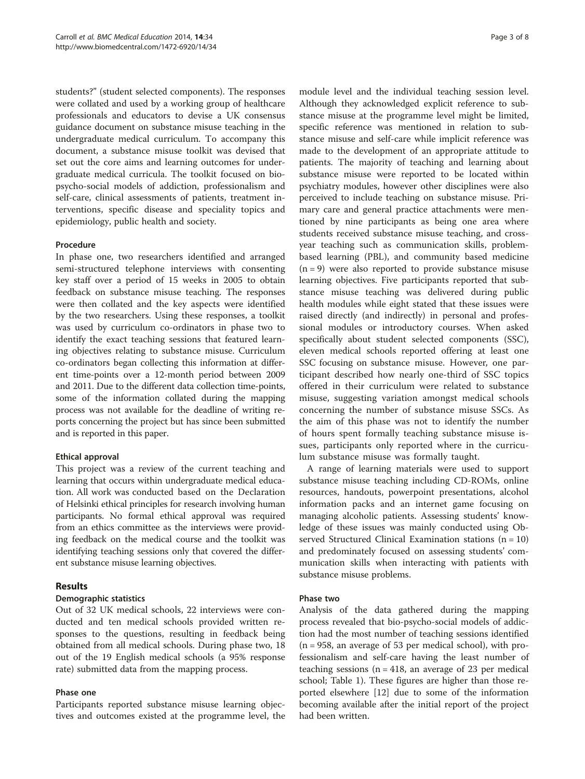students?" (student selected components). The responses were collated and used by a working group of healthcare professionals and educators to devise a UK consensus guidance document on substance misuse teaching in the undergraduate medical curriculum. To accompany this document, a substance misuse toolkit was devised that set out the core aims and learning outcomes for undergraduate medical curricula. The toolkit focused on biopsycho-social models of addiction, professionalism and self-care, clinical assessments of patients, treatment interventions, specific disease and speciality topics and epidemiology, public health and society.

#### Procedure

In phase one, two researchers identified and arranged semi-structured telephone interviews with consenting key staff over a period of 15 weeks in 2005 to obtain feedback on substance misuse teaching. The responses were then collated and the key aspects were identified by the two researchers. Using these responses, a toolkit was used by curriculum co-ordinators in phase two to identify the exact teaching sessions that featured learning objectives relating to substance misuse. Curriculum co-ordinators began collecting this information at different time-points over a 12-month period between 2009 and 2011. Due to the different data collection time-points, some of the information collated during the mapping process was not available for the deadline of writing reports concerning the project but has since been submitted and is reported in this paper.

# Ethical approval

This project was a review of the current teaching and learning that occurs within undergraduate medical education. All work was conducted based on the Declaration of Helsinki ethical principles for research involving human participants. No formal ethical approval was required from an ethics committee as the interviews were providing feedback on the medical course and the toolkit was identifying teaching sessions only that covered the different substance misuse learning objectives.

# Results

# Demographic statistics

Out of 32 UK medical schools, 22 interviews were conducted and ten medical schools provided written responses to the questions, resulting in feedback being obtained from all medical schools. During phase two, 18 out of the 19 English medical schools (a 95% response rate) submitted data from the mapping process.

#### Phase one

Participants reported substance misuse learning objectives and outcomes existed at the programme level, the

module level and the individual teaching session level. Although they acknowledged explicit reference to substance misuse at the programme level might be limited, specific reference was mentioned in relation to substance misuse and self-care while implicit reference was made to the development of an appropriate attitude to patients. The majority of teaching and learning about substance misuse were reported to be located within psychiatry modules, however other disciplines were also perceived to include teaching on substance misuse. Primary care and general practice attachments were mentioned by nine participants as being one area where students received substance misuse teaching, and crossyear teaching such as communication skills, problembased learning (PBL), and community based medicine  $(n = 9)$  were also reported to provide substance misuse learning objectives. Five participants reported that substance misuse teaching was delivered during public health modules while eight stated that these issues were raised directly (and indirectly) in personal and professional modules or introductory courses. When asked specifically about student selected components (SSC), eleven medical schools reported offering at least one SSC focusing on substance misuse. However, one participant described how nearly one-third of SSC topics offered in their curriculum were related to substance misuse, suggesting variation amongst medical schools concerning the number of substance misuse SSCs. As the aim of this phase was not to identify the number of hours spent formally teaching substance misuse issues, participants only reported where in the curriculum substance misuse was formally taught.

A range of learning materials were used to support substance misuse teaching including CD-ROMs, online resources, handouts, powerpoint presentations, alcohol information packs and an internet game focusing on managing alcoholic patients. Assessing students' knowledge of these issues was mainly conducted using Observed Structured Clinical Examination stations  $(n = 10)$ and predominately focused on assessing students' communication skills when interacting with patients with substance misuse problems.

#### Phase two

Analysis of the data gathered during the mapping process revealed that bio-psycho-social models of addiction had the most number of teaching sessions identified (n = 958, an average of 53 per medical school), with professionalism and self-care having the least number of teaching sessions ( $n = 418$ , an average of 23 per medical school; Table [1](#page-3-0)). These figures are higher than those reported elsewhere [[12\]](#page-7-0) due to some of the information becoming available after the initial report of the project had been written.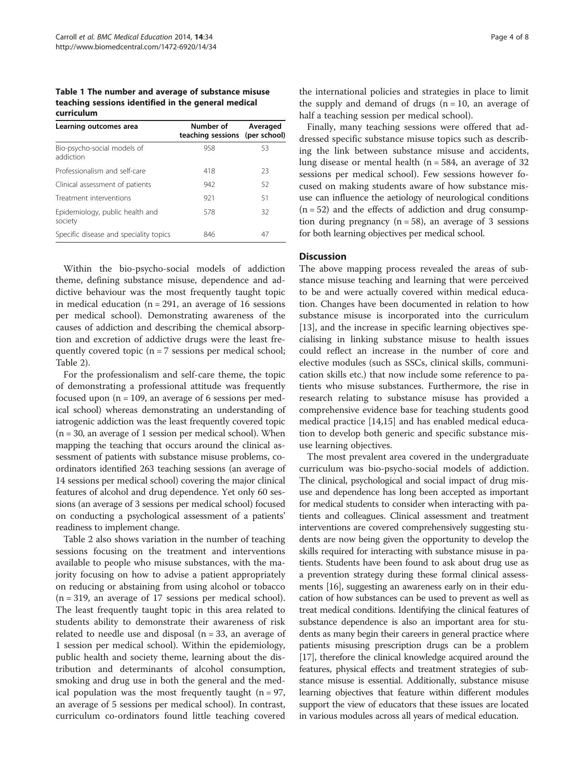<span id="page-3-0"></span>Table 1 The number and average of substance misuse teaching sessions identified in the general medical curriculum

| Learning outcomes area                     | Number of<br>teaching sessions (per school) | Averaged |
|--------------------------------------------|---------------------------------------------|----------|
| Bio-psycho-social models of<br>addiction   | 958                                         | 53       |
| Professionalism and self-care              | 418                                         | 23       |
| Clinical assessment of patients            | 942                                         | 52       |
| Treatment interventions                    | 921                                         | 51       |
| Epidemiology, public health and<br>society | 578                                         | 32       |
| Specific disease and speciality topics     | 846                                         | 47       |

Within the bio-psycho-social models of addiction theme, defining substance misuse, dependence and addictive behaviour was the most frequently taught topic in medical education ( $n = 291$ , an average of 16 sessions per medical school). Demonstrating awareness of the causes of addiction and describing the chemical absorption and excretion of addictive drugs were the least frequently covered topic  $(n = 7$  sessions per medical school; Table [2\)](#page-4-0).

For the professionalism and self-care theme, the topic of demonstrating a professional attitude was frequently focused upon ( $n = 109$ , an average of 6 sessions per medical school) whereas demonstrating an understanding of iatrogenic addiction was the least frequently covered topic  $(n = 30,$  an average of 1 session per medical school). When mapping the teaching that occurs around the clinical assessment of patients with substance misuse problems, coordinators identified 263 teaching sessions (an average of 14 sessions per medical school) covering the major clinical features of alcohol and drug dependence. Yet only 60 sessions (an average of 3 sessions per medical school) focused on conducting a psychological assessment of a patients' readiness to implement change.

Table [2](#page-4-0) also shows variation in the number of teaching sessions focusing on the treatment and interventions available to people who misuse substances, with the majority focusing on how to advise a patient appropriately on reducing or abstaining from using alcohol or tobacco (n = 319, an average of 17 sessions per medical school). The least frequently taught topic in this area related to students ability to demonstrate their awareness of risk related to needle use and disposal ( $n = 33$ , an average of 1 session per medical school). Within the epidemiology, public health and society theme, learning about the distribution and determinants of alcohol consumption, smoking and drug use in both the general and the medical population was the most frequently taught  $(n = 97,$ an average of 5 sessions per medical school). In contrast, curriculum co-ordinators found little teaching covered

the international policies and strategies in place to limit the supply and demand of drugs  $(n = 10)$ , an average of half a teaching session per medical school).

Finally, many teaching sessions were offered that addressed specific substance misuse topics such as describing the link between substance misuse and accidents, lung disease or mental health ( $n = 584$ , an average of 32 sessions per medical school). Few sessions however focused on making students aware of how substance misuse can influence the aetiology of neurological conditions  $(n = 52)$  and the effects of addiction and drug consumption during pregnancy  $(n = 58)$ , an average of 3 sessions for both learning objectives per medical school.

#### **Discussion**

The above mapping process revealed the areas of substance misuse teaching and learning that were perceived to be and were actually covered within medical education. Changes have been documented in relation to how substance misuse is incorporated into the curriculum [[13\]](#page-7-0), and the increase in specific learning objectives specialising in linking substance misuse to health issues could reflect an increase in the number of core and elective modules (such as SSCs, clinical skills, communication skills etc.) that now include some reference to patients who misuse substances. Furthermore, the rise in research relating to substance misuse has provided a comprehensive evidence base for teaching students good medical practice [\[14,15](#page-7-0)] and has enabled medical education to develop both generic and specific substance misuse learning objectives.

The most prevalent area covered in the undergraduate curriculum was bio-psycho-social models of addiction. The clinical, psychological and social impact of drug misuse and dependence has long been accepted as important for medical students to consider when interacting with patients and colleagues. Clinical assessment and treatment interventions are covered comprehensively suggesting students are now being given the opportunity to develop the skills required for interacting with substance misuse in patients. Students have been found to ask about drug use as a prevention strategy during these formal clinical assessments [\[16\]](#page-7-0), suggesting an awareness early on in their education of how substances can be used to prevent as well as treat medical conditions. Identifying the clinical features of substance dependence is also an important area for students as many begin their careers in general practice where patients misusing prescription drugs can be a problem [[17](#page-7-0)], therefore the clinical knowledge acquired around the features, physical effects and treatment strategies of substance misuse is essential. Additionally, substance misuse learning objectives that feature within different modules support the view of educators that these issues are located in various modules across all years of medical education.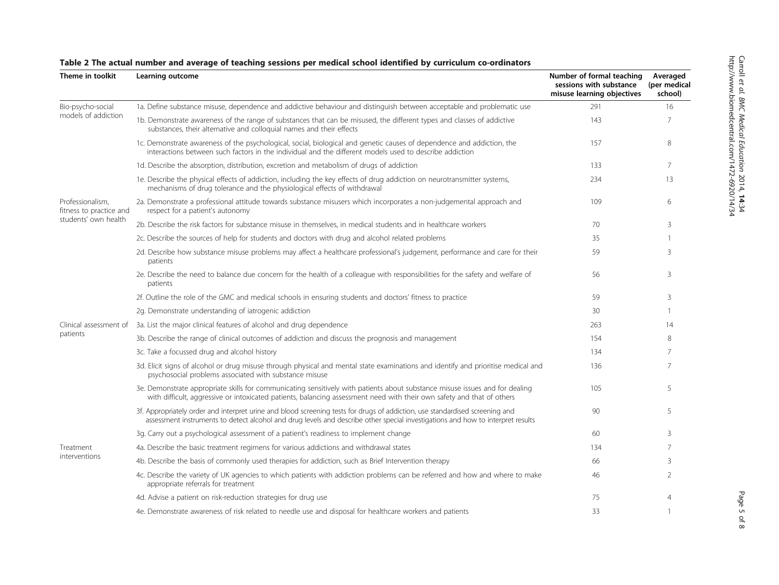| Theme in toolkit                                                    | Learning outcome                                                                                                                                                                                                                                                | Number of formal teaching<br>sessions with substance<br>misuse learning objectives | Averaged<br>(per medical<br>school) |
|---------------------------------------------------------------------|-----------------------------------------------------------------------------------------------------------------------------------------------------------------------------------------------------------------------------------------------------------------|------------------------------------------------------------------------------------|-------------------------------------|
| Bio-psycho-social<br>models of addiction                            | 1a. Define substance misuse, dependence and addictive behaviour and distinguish between acceptable and problematic use                                                                                                                                          | 291                                                                                | 16                                  |
|                                                                     | 1b. Demonstrate awareness of the range of substances that can be misused, the different types and classes of addictive<br>substances, their alternative and colloquial names and their effects                                                                  | 143                                                                                | 7                                   |
|                                                                     | 1c. Demonstrate awareness of the psychological, social, biological and genetic causes of dependence and addiction, the<br>interactions between such factors in the individual and the different models used to describe addiction                               | 157                                                                                | 8                                   |
|                                                                     | 1d. Describe the absorption, distribution, excretion and metabolism of drugs of addiction                                                                                                                                                                       | 133                                                                                | 7                                   |
|                                                                     | 1e. Describe the physical effects of addiction, including the key effects of drug addiction on neurotransmitter systems,<br>mechanisms of drug tolerance and the physiological effects of withdrawal                                                            | 234                                                                                | 13                                  |
| Professionalism.<br>fitness to practice and<br>students' own health | 2a. Demonstrate a professional attitude towards substance misusers which incorporates a non-judgemental approach and<br>respect for a patient's autonomy                                                                                                        | 109                                                                                | 6                                   |
|                                                                     | 2b. Describe the risk factors for substance misuse in themselves, in medical students and in healthcare workers                                                                                                                                                 | 70                                                                                 | Β                                   |
|                                                                     | 2c. Describe the sources of help for students and doctors with drug and alcohol related problems                                                                                                                                                                | 35                                                                                 |                                     |
|                                                                     | 2d. Describe how substance misuse problems may affect a healthcare professional's judgement, performance and care for their<br>patients                                                                                                                         | 59                                                                                 | 3                                   |
|                                                                     | 2e. Describe the need to balance due concern for the health of a colleague with responsibilities for the safety and welfare of<br>patients                                                                                                                      | 56                                                                                 | 3                                   |
|                                                                     | 2f. Outline the role of the GMC and medical schools in ensuring students and doctors' fitness to practice                                                                                                                                                       | 59                                                                                 | 3                                   |
|                                                                     | 2g. Demonstrate understanding of iatrogenic addiction                                                                                                                                                                                                           | 30                                                                                 |                                     |
| Clinical assessment of<br>patients                                  | 3a. List the major clinical features of alcohol and drug dependence                                                                                                                                                                                             | 263                                                                                | 14                                  |
|                                                                     | 3b. Describe the range of clinical outcomes of addiction and discuss the prognosis and management                                                                                                                                                               | 154                                                                                | 8                                   |
|                                                                     | 3c. Take a focussed drug and alcohol history                                                                                                                                                                                                                    | 134                                                                                | 7                                   |
|                                                                     | 3d. Elicit signs of alcohol or drug misuse through physical and mental state examinations and identify and prioritise medical and<br>psychosocial problems associated with substance misuse                                                                     | 136                                                                                | 7                                   |
|                                                                     | 3e. Demonstrate appropriate skills for communicating sensitively with patients about substance misuse issues and for dealing<br>with difficult, aggressive or intoxicated patients, balancing assessment need with their own safety and that of others          | 105                                                                                | 5                                   |
|                                                                     | 3f. Appropriately order and interpret urine and blood screening tests for drugs of addiction, use standardised screening and<br>assessment instruments to detect alcohol and drug levels and describe other special investigations and how to interpret results | 90                                                                                 | 5                                   |
|                                                                     | 3q. Carry out a psychological assessment of a patient's readiness to implement change                                                                                                                                                                           | 60                                                                                 | $\overline{3}$                      |
| Treatment                                                           | 4a. Describe the basic treatment regimens for various addictions and withdrawal states                                                                                                                                                                          | 134                                                                                | 7                                   |
| interventions                                                       | 4b. Describe the basis of commonly used therapies for addiction, such as Brief Intervention therapy                                                                                                                                                             | 66                                                                                 | 3                                   |
|                                                                     | 4c. Describe the variety of UK agencies to which patients with addiction problems can be referred and how and where to make<br>appropriate referrals for treatment                                                                                              | 46                                                                                 | $\mathcal{P}$                       |
|                                                                     | 4d. Advise a patient on risk-reduction strategies for drug use                                                                                                                                                                                                  | 75                                                                                 | $\Delta$                            |
|                                                                     | 4e. Demonstrate awareness of risk related to needle use and disposal for healthcare workers and patients                                                                                                                                                        | 33                                                                                 |                                     |

# <span id="page-4-0"></span>Table 2 The actual number and average of teaching sessions per medical school identified by curriculum co-ordinators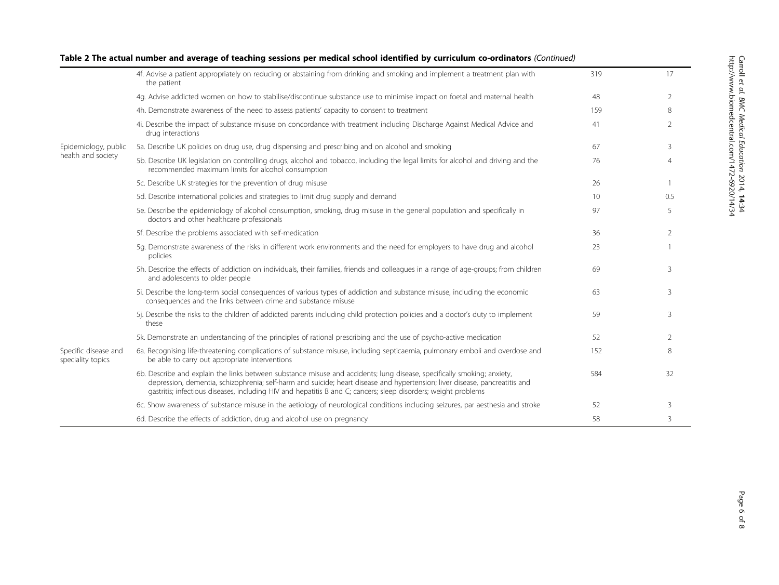# Table 2 The actual number and average of teaching sessions per medical school identified by curriculum co-ordinators (Continued)

|                                            | 4f. Advise a patient appropriately on reducing or abstaining from drinking and smoking and implement a treatment plan with<br>the patient                                                                                                                                                                                                                                | 319 | 17             |
|--------------------------------------------|--------------------------------------------------------------------------------------------------------------------------------------------------------------------------------------------------------------------------------------------------------------------------------------------------------------------------------------------------------------------------|-----|----------------|
|                                            | 4q. Advise addicted women on how to stabilise/discontinue substance use to minimise impact on foetal and maternal health                                                                                                                                                                                                                                                 | 48  | $\mathfrak{D}$ |
|                                            | 4h. Demonstrate awareness of the need to assess patients' capacity to consent to treatment                                                                                                                                                                                                                                                                               | 159 | 8              |
|                                            | 4i. Describe the impact of substance misuse on concordance with treatment including Discharge Against Medical Advice and<br>drug interactions                                                                                                                                                                                                                            | 41  | 2              |
| Epidemiology, public<br>health and society | 5a. Describe UK policies on drug use, drug dispensing and prescribing and on alcohol and smoking                                                                                                                                                                                                                                                                         | 67  | 3              |
|                                            | 5b. Describe UK legislation on controlling drugs, alcohol and tobacco, including the legal limits for alcohol and driving and the<br>recommended maximum limits for alcohol consumption                                                                                                                                                                                  | 76  | 4              |
|                                            | 5c. Describe UK strategies for the prevention of drug misuse                                                                                                                                                                                                                                                                                                             | 26  |                |
|                                            | 5d. Describe international policies and strategies to limit drug supply and demand                                                                                                                                                                                                                                                                                       | 10  | 0.5            |
|                                            | 5e. Describe the epidemiology of alcohol consumption, smoking, drug misuse in the general population and specifically in<br>doctors and other healthcare professionals                                                                                                                                                                                                   | 97  | 5              |
|                                            | 5f. Describe the problems associated with self-medication                                                                                                                                                                                                                                                                                                                | 36  | 2              |
|                                            | 5q. Demonstrate awareness of the risks in different work environments and the need for employers to have drug and alcohol<br>policies                                                                                                                                                                                                                                    | 23  |                |
|                                            | 5h. Describe the effects of addiction on individuals, their families, friends and colleagues in a range of age-groups; from children<br>and adolescents to older people                                                                                                                                                                                                  | 69  | 3              |
|                                            | 5i. Describe the long-term social consequences of various types of addiction and substance misuse, including the economic<br>consequences and the links between crime and substance misuse                                                                                                                                                                               | 63  | 3              |
|                                            | 5j. Describe the risks to the children of addicted parents including child protection policies and a doctor's duty to implement<br>these                                                                                                                                                                                                                                 | 59  | ζ              |
|                                            | 5k. Demonstrate an understanding of the principles of rational prescribing and the use of psycho-active medication                                                                                                                                                                                                                                                       | 52  | $\mathcal{P}$  |
| Specific disease and<br>speciality topics  | 6a. Recognising life-threatening complications of substance misuse, including septicaemia, pulmonary emboli and overdose and<br>be able to carry out appropriate interventions                                                                                                                                                                                           | 152 | 8              |
|                                            | 6b. Describe and explain the links between substance misuse and accidents; lung disease, specifically smoking; anxiety,<br>depression, dementia, schizophrenia; self-harm and suicide; heart disease and hypertension; liver disease, pancreatitis and<br>gastritis; infectious diseases, including HIV and hepatitis B and C; cancers; sleep disorders; weight problems | 584 | 32             |
|                                            | 6c. Show awareness of substance misuse in the aetiology of neurological conditions including seizures, par aesthesia and stroke                                                                                                                                                                                                                                          | 52  | 3              |
|                                            | 6d. Describe the effects of addiction, drug and alcohol use on pregnancy                                                                                                                                                                                                                                                                                                 | 58  | 3              |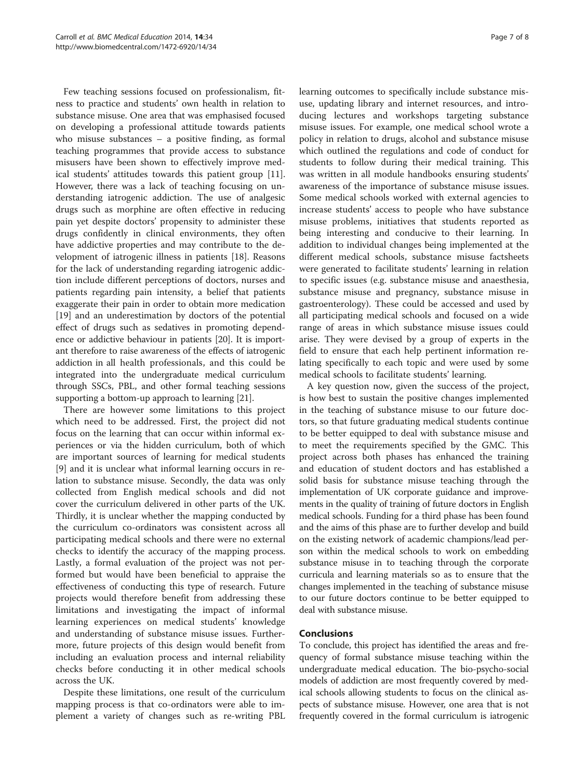Few teaching sessions focused on professionalism, fitness to practice and students' own health in relation to substance misuse. One area that was emphasised focused on developing a professional attitude towards patients who misuse substances – a positive finding, as formal teaching programmes that provide access to substance misusers have been shown to effectively improve medical students' attitudes towards this patient group [\[11](#page-7-0)]. However, there was a lack of teaching focusing on understanding iatrogenic addiction. The use of analgesic drugs such as morphine are often effective in reducing pain yet despite doctors' propensity to administer these drugs confidently in clinical environments, they often have addictive properties and may contribute to the development of iatrogenic illness in patients [[18](#page-7-0)]. Reasons for the lack of understanding regarding iatrogenic addiction include different perceptions of doctors, nurses and patients regarding pain intensity, a belief that patients exaggerate their pain in order to obtain more medication [[19\]](#page-7-0) and an underestimation by doctors of the potential effect of drugs such as sedatives in promoting dependence or addictive behaviour in patients [\[20\]](#page-7-0). It is important therefore to raise awareness of the effects of iatrogenic addiction in all health professionals, and this could be integrated into the undergraduate medical curriculum through SSCs, PBL, and other formal teaching sessions supporting a bottom-up approach to learning [[21\]](#page-7-0).

There are however some limitations to this project which need to be addressed. First, the project did not focus on the learning that can occur within informal experiences or via the hidden curriculum, both of which are important sources of learning for medical students [[9\]](#page-7-0) and it is unclear what informal learning occurs in relation to substance misuse. Secondly, the data was only collected from English medical schools and did not cover the curriculum delivered in other parts of the UK. Thirdly, it is unclear whether the mapping conducted by the curriculum co-ordinators was consistent across all participating medical schools and there were no external checks to identify the accuracy of the mapping process. Lastly, a formal evaluation of the project was not performed but would have been beneficial to appraise the effectiveness of conducting this type of research. Future projects would therefore benefit from addressing these limitations and investigating the impact of informal learning experiences on medical students' knowledge and understanding of substance misuse issues. Furthermore, future projects of this design would benefit from including an evaluation process and internal reliability checks before conducting it in other medical schools across the UK.

Despite these limitations, one result of the curriculum mapping process is that co-ordinators were able to implement a variety of changes such as re-writing PBL learning outcomes to specifically include substance misuse, updating library and internet resources, and introducing lectures and workshops targeting substance misuse issues. For example, one medical school wrote a policy in relation to drugs, alcohol and substance misuse which outlined the regulations and code of conduct for students to follow during their medical training. This was written in all module handbooks ensuring students' awareness of the importance of substance misuse issues. Some medical schools worked with external agencies to increase students' access to people who have substance misuse problems, initiatives that students reported as being interesting and conducive to their learning. In addition to individual changes being implemented at the different medical schools, substance misuse factsheets were generated to facilitate students' learning in relation to specific issues (e.g. substance misuse and anaesthesia, substance misuse and pregnancy, substance misuse in gastroenterology). These could be accessed and used by all participating medical schools and focused on a wide range of areas in which substance misuse issues could arise. They were devised by a group of experts in the field to ensure that each help pertinent information relating specifically to each topic and were used by some medical schools to facilitate students' learning.

A key question now, given the success of the project, is how best to sustain the positive changes implemented in the teaching of substance misuse to our future doctors, so that future graduating medical students continue to be better equipped to deal with substance misuse and to meet the requirements specified by the GMC. This project across both phases has enhanced the training and education of student doctors and has established a solid basis for substance misuse teaching through the implementation of UK corporate guidance and improvements in the quality of training of future doctors in English medical schools. Funding for a third phase has been found and the aims of this phase are to further develop and build on the existing network of academic champions/lead person within the medical schools to work on embedding substance misuse in to teaching through the corporate curricula and learning materials so as to ensure that the changes implemented in the teaching of substance misuse to our future doctors continue to be better equipped to deal with substance misuse.

# Conclusions

To conclude, this project has identified the areas and frequency of formal substance misuse teaching within the undergraduate medical education. The bio-psycho-social models of addiction are most frequently covered by medical schools allowing students to focus on the clinical aspects of substance misuse. However, one area that is not frequently covered in the formal curriculum is iatrogenic